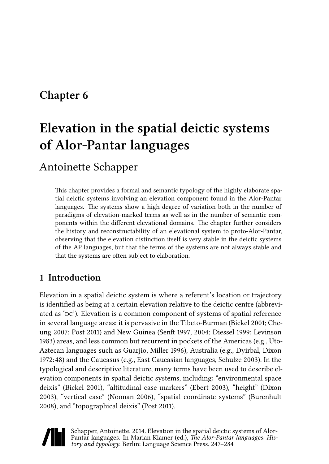## **Chapter 6**

# **Elevation in the spatial deictic systems of Alor-Pantar languages**

## Antoinette Schapper

This chapter provides a formal and semantic typology of the highly elaborate spatial deictic systems involving an elevation component found in the Alor-Pantar languages. The systems show a high degree of variation both in the number of paradigms of elevation-marked terms as well as in the number of semantic components within the different elevational domains. The chapter further considers the history and reconstructability of an elevational system to proto-Alor-Pantar, observing that the elevation distinction itself is very stable in the deictic systems of the AP languages, but that the terms of the systems are not always stable and that the systems are often subject to elaboration.

## **1 Introduction**

Elevation in a spatial deictic system is where a referent's location or trajectory is identified as being at a certain elevation relative to the deictic centre (abbreviated as 'pc'). Elevation is a common component of systems of spatial reference in several language areas: it is pervasive in the Tibeto-Burman [\(Bickel 2001;](#page-35-0) [Che](#page-35-1)[ung 2007](#page-35-1); [Post 2011\)](#page-36-0) and New Guinea([Senft 1997,](#page-37-0) [2004;](#page-37-1) [Diessel 1999](#page-35-2); [Levinson](#page-36-1) [1983](#page-36-1)) areas, and less common but recurrent in pockets of the Americas (e.g., Uto-Aztecan languages such as Guarjío, [Miller 1996\)](#page-36-2), Australia (e.g., Dyirbal, [Dixon](#page-35-3) [1972](#page-35-3):48) and the Caucasus (e.g., East Caucasian languages, [Schulze 2003\)](#page-37-2). In the typological and descriptive literature, many terms have been used to describe elevation components in spatial deictic systems, including: "environmental space deixis"([Bickel 2001\)](#page-35-0), "altitudinal case markers"([Ebert 2003\)](#page-35-4), "height" [\(Dixon](#page-35-5) [2003](#page-35-5)), "vertical case"([Noonan 2006\)](#page-36-3), "spatial coordinate systems" [\(Burenhult](#page-35-6) [2008](#page-35-6)), and "topographical deixis" [\(Post 2011](#page-36-0)).



Schapper, Antoinette. 2014. Elevation in the spatial deictic systems of Alor-Pantar languages. In Marian Klamer (ed.), *The Alor-Pantar languages: History and typology*. Berlin: Language Science Press. 247–284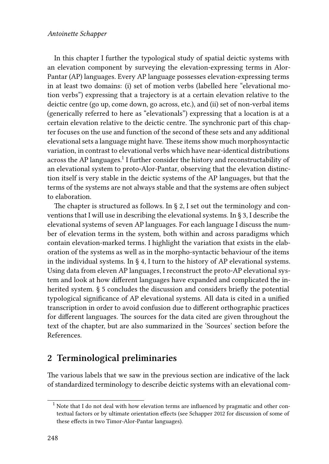#### *Antoinette Schapper*

In this chapter I further the typological study of spatial deictic systems with an elevation component by surveying the elevation-expressing terms in Alor-Pantar (AP) languages. Every AP language possesses elevation-expressing terms in at least two domains: (i) set of motion verbs (labelled here "elevational motion verbs") expressing that a trajectory is at a certain elevation relative to the deictic centre (go up, come down, go across, etc.), and (ii) set of non-verbal items (generically referred to here as "elevationals") expressing that a location is at a certain elevation relative to the deictic centre. The synchronic part of this chapter focuses on the use and function of the second of these sets and any additional elevational sets a language might have. These items show much morphosyntactic variation, in contrast to elevational verbs which have near-identical distributions across the AP languages.<sup>1</sup> I further consider the history and reconstructability of an elevational system to proto-Alor-Pantar, observing that the elevation distinction itself is very stable in the deictic systems of the AP languages, but that the terms of the systems are not always stable and that the systems are often subject to elaboration.

The chapter is structured as follows. In § [2](#page-1-0), I set out the terminology and conventions that I will use in describing the elevational systems. In § [3,](#page-4-0) I describe the elevational systems of seven AP languages. For each language I discuss the number of elevation terms in the system, both within and across paradigms which contain elevation-marked terms. I highlight the variation that exists in the elaboration of the systems as well as in the morpho-syntactic behaviour of the items in the individual systems. In § [4,](#page-23-0) I turn to the history of AP elevational systems. Using data from eleven AP languages, I reconstruct the proto-AP elevational system and look at how different languages have expanded and complicated the inherited system. § [5](#page-31-0) concludes the discussion and considers briefly the potential typological significance of AP elevational systems. All data is cited in a unified transcription in order to avoid confusion due to different orthographic practices for different languages. The sources for the data cited are given throughout the text of the chapter, but are also summarized in the 'Sources' section before the References.

### <span id="page-1-0"></span>**2 Terminological preliminaries**

The various labels that we saw in the previous section are indicative of the lack of standardized terminology to describe deictic systems with an elevational com-

 $^{\rm 1}$  Note that I do not deal with how elevation terms are influenced by pragmatic and other contextual factors or by ultimate orientation effects (see [Schapper 2012](#page-36-4) for discussion of some of these effects in two Timor-Alor-Pantar languages).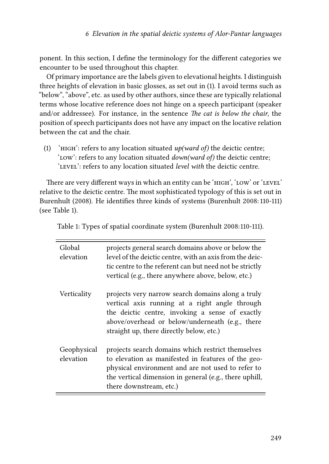ponent. In this section, I define the terminology for the different categories we encounter to be used throughout this chapter.

Of primary importance are the labels given to elevational heights. I distinguish three heights of elevation in basic glosses, as set out in([1\)](#page-2-0). I avoid terms such as "below", "above", etc. as used by other authors, since these are typically relational terms whose locative reference does not hinge on a speech participant (speaker and/or addressee). For instance, in the sentence *The cat is below the chair*, the position of speech participants does not have any impact on the locative relation between the cat and the chair.

<span id="page-2-0"></span>(1) 'high': refers to any location situated *up(ward of)* the deictic centre; 'low': refers to any location situated *down(ward of)* the deictic centre; 'LEVEL': refers to any location situated *level* with the deictic centre.

There are very different ways in which an entity can be 'HIGH', 'LOW' or 'LEVEL' relative to the deictic centre. The most sophisticated typology of this is set out in [Burenhult \(2008\).](#page-35-6) He identifies three kinds of systems([Burenhult 2008:](#page-35-6) 110-111) (see Table [1\)](#page-2-1).

<span id="page-2-1"></span>Table 1: Types of spatial coordinate system [\(Burenhult 2008:](#page-35-6)110-111).

| Global<br>elevation      | projects general search domains above or below the<br>level of the deictic centre, with an axis from the deic-<br>tic centre to the referent can but need not be strictly<br>vertical (e.g., there anywhere above, below, etc.)                       |
|--------------------------|-------------------------------------------------------------------------------------------------------------------------------------------------------------------------------------------------------------------------------------------------------|
| Verticality              | projects very narrow search domains along a truly<br>vertical axis running at a right angle through<br>the deictic centre, invoking a sense of exactly<br>above/overhead or below/underneath (e.g., there<br>straight up, there directly below, etc.) |
| Geophysical<br>elevation | projects search domains which restrict themselves<br>to elevation as manifested in features of the geo-<br>physical environment and are not used to refer to<br>the vertical dimension in general (e.g., there uphill,<br>there downstream, etc.)     |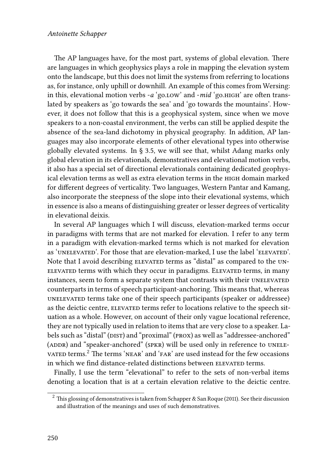The AP languages have, for the most part, systems of global elevation. There are languages in which geophysics plays a role in mapping the elevation system onto the landscape, but this does not limit the systems from referring to locations as, for instance, only uphill or downhill. An example of this comes from Wersing: in this, elevational motion verbs -*a* 'go.Low' and -*mid* 'go.HIGH' are often translated by speakers as 'go towards the sea' and 'go towards the mountains'. However, it does not follow that this is a geophysical system, since when we move speakers to a non-coastal environment, the verbs can still be applied despite the absence of the sea-land dichotomy in physical geography. In addition, AP languages may also incorporate elements of other elevational types into otherwise globally elevated systems. In § [3.5](#page-12-0), we will see that, whilst Adang marks only global elevation in its elevationals, demonstratives and elevational motion verbs, it also has a special set of directional elevationals containing dedicated geophysical elevation terms as well as extra elevation terms in the high domain marked for different degrees of verticality. Two languages, Western Pantar and Kamang, also incorporate the steepness of the slope into their elevational systems, which in essence is also a means of distinguishing greater or lesser degrees of verticality in elevational deixis.

In several AP languages which I will discuss, elevation-marked terms occur in paradigms with terms that are not marked for elevation. I refer to any term in a paradigm with elevation-marked terms which is not marked for elevation as 'UNELEVATED'. For those that are elevation-marked, I use the label 'ELEVATED'. Note that I avoid describing ELEVATED terms as "distal" as compared to the UNelevated terms with which they occur in paradigms. Elevated terms, in many instances, seem to form a separate system that contrasts with their UNELEVATED counterparts in terms of speech participant-anchoring. This means that, whereas unelevated terms take one of their speech participants (speaker or addressee) as the deictic centre, ELEVATED terms refer to locations relative to the speech situation as a whole. However, on account of their only vague locational reference, they are not typically used in relation to items that are very close to a speaker. Labels such as "distal" (DIST) and "proximal" (PROX) as well as "addressee-anchored" (ADDR) and "speaker-anchored" (SPKR) will be used only in reference to UNELEvated terms.<sup>2</sup> The terms 'NEAR' and 'FAR' are used instead for the few occasions in which we find distance-related distinctions between ELEVATED terms.

Finally, I use the term "elevational" to refer to the sets of non-verbal items denoting a location that is at a certain elevation relative to the deictic centre.

 $2$  This glossing of demonstratives is taken from [Schapper & San Roque \(2011\)](#page-37-3). See their discussion and illustration of the meanings and uses of such demonstratives.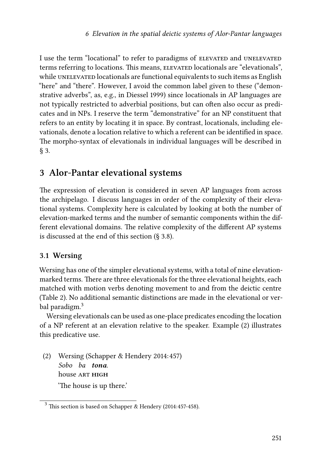I use the term "locational" to refer to paradigms of ELEVATED and UNELEVATED terms referring to locations. This means, ELEVATED locationals are "elevationals", while UNELEVATED locationals are functional equivalents to such items as English "here" and "there". However, I avoid the common label given to these ("demonstrative adverbs", as, e.g., in [Diessel 1999\)](#page-35-2) since locationals in AP languages are not typically restricted to adverbial positions, but can often also occur as predicates and in NPs. I reserve the term "demonstrative" for an NP constituent that refers to an entity by locating it in space. By contrast, locationals, including elevationals, denote a location relative to which a referent can be identified in space. The morpho-syntax of elevationals in individual languages will be described in § [3](#page-4-0).

## <span id="page-4-0"></span>**3 Alor-Pantar elevational systems**

The expression of elevation is considered in seven AP languages from across the archipelago. I discuss languages in order of the complexity of their elevational systems. Complexity here is calculated by looking at both the number of elevation-marked terms and the number of semantic components within the different elevational domains. The relative complexity of the different AP systems is discussed at the end of this section (§ [3.8](#page-19-0)).

#### **3.1 Wersing**

Wersing has one of the simpler elevational systems, with a total of nine elevationmarked terms. There are three elevationals for the three elevational heights, each matched with motion verbs denoting movement to and from the deictic centre (Table [2](#page-5-0)). No additional semantic distinctions are made in the elevational or verbal paradigm.<sup>3</sup>

Wersing elevationals can be used as one-place predicates encoding the location of a NP referent at an elevation relative to the speaker. Example([2\)](#page-4-1) illustrates this predicative use.

<span id="page-4-1"></span>(2) Wersing([Schapper & Hendery 2014:](#page-37-4)457) *Sobo ba tona.* house ART <mark>HIGH</mark> 'The house is up there.'

 $3$  This section is based on [Schapper & Hendery \(2014:](#page-37-4)457-458).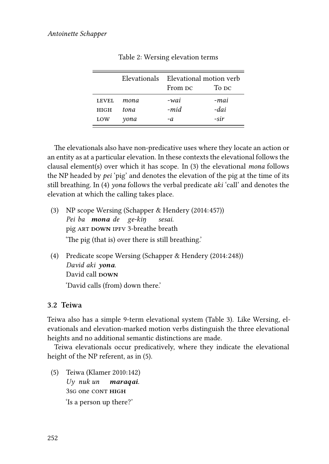|              |      | Elevationals Elevational motion verb |                  |  |  |  |
|--------------|------|--------------------------------------|------------------|--|--|--|
|              |      | From <sub>DC</sub>                   | To <sub>DC</sub> |  |  |  |
| <b>LEVEL</b> | mona | -wai                                 | -mai             |  |  |  |
| <b>HIGH</b>  | tona | $-mid$                               | -dai             |  |  |  |
| LOW          | vona | -a                                   | -sir             |  |  |  |

<span id="page-5-0"></span>Table 2: Wersing elevation terms

The elevationals also have non-predicative uses where they locate an action or an entity as at a particular elevation. In these contexts the elevational follows the clausal element(s) over which it has scope. In [\(3](#page-5-1)) the elevational *mona* follows the NP headed by *pei* 'pig' and denotes the elevation of the pig at the time of its still breathing. In([4](#page-5-2)) *yona* follows the verbal predicate *aki* 'call' and denotes the elevation at which the calling takes place.

- <span id="page-5-1"></span>(3) NP scope Wersing [\(Schapper & Hendery \(2014](#page-37-4):457)) *Pei ba mona de ge-kiŋ* pig ART DOWN IPFV 3-breathe breath *sesai.* 'The pig (that is) over there is still breathing.'
- <span id="page-5-2"></span>(4) Predicate scope Wersing([Schapper & Hendery \(2014:](#page-37-4)248)) *David aki yona.* David call <mark>DOWN</mark> 'David calls (from) down there.'

#### **3.2 Teiwa**

Teiwa also has a simple 9-term elevational system (Table [3](#page-6-0)). Like Wersing, elevationals and elevation-marked motion verbs distinguish the three elevational heights and no additional semantic distinctions are made.

Teiwa elevationals occur predicatively, where they indicate the elevational height of the NP referent, as in([5\)](#page-5-3).

<span id="page-5-3"></span>(5) Teiwa([Klamer 2010:](#page-36-5)142) *Uy nuk un* 3sg one cont **high** *maraqai.* 'Is a person up there?'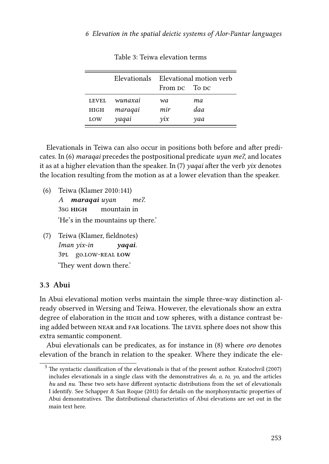|              | Elevationals | Elevational motion verb |     |  |  |  |
|--------------|--------------|-------------------------|-----|--|--|--|
|              |              | From DC To DC           |     |  |  |  |
| <b>LEVEL</b> | wunaxai      | wa                      | mа  |  |  |  |
| HIGH         | maraqai      | mir                     | daa |  |  |  |
| LOW          | yaqai        | $\gamma$ ix             | yaa |  |  |  |

<span id="page-6-0"></span>Table 3: Teiwa elevation terms

Elevationals in Teiwa can also occur in positions both before and after predicates. In [\(6](#page-6-1)) *maraqai* precedes the postpositional predicate *uyan meʔ*, and locates it as at a higher elevation than the speaker. In [\(7\)](#page-6-2) *yaqai* after the verb *yix* denotes the location resulting from the motion as at a lower elevation than the speaker.

- <span id="page-6-1"></span>(6) Teiwa [\(Klamer 2010](#page-36-5):141) *A maraqai uyan* 3sg **high** mountain in *meʔ.* 'He's in the mountains up there.'
- <span id="page-6-2"></span>(7) Teiwa (Klamer, fieldnotes) *Iman yix-in* 3pl go.low-real **low** *yaqai.* 'They went down there.'

#### **3.3 Abui**

In Abui elevational motion verbs maintain the simple three-way distinction already observed in Wersing and Teiwa. However, the elevationals show an extra degree of elaboration in the HIGH and LOW spheres, with a distance contrast being added between near and far locations. The level sphere does not show this extra semantic component.

Abui elevationals can be predicates, as for instance in [\(8](#page-7-0)) where *oro* denotes elevation of the branch in relation to the speaker. Where they indicate the ele-

 $^3$  The syntactic classification of the elevationals is that of the present author. [Kratochvíl \(2007\)](#page-36-6) includes elevationals in a single class with the demonstratives *do, o, to, yo*, and the articles *hu* and *nu*. These two sets have different syntactic distributions from the set of elevationals I identify. See [Schapper & San Roque \(2011\)](#page-37-3) for details on the morphosyntactic properties of Abui demonstratives. The distributional characteristics of Abui elevations are set out in the main text here.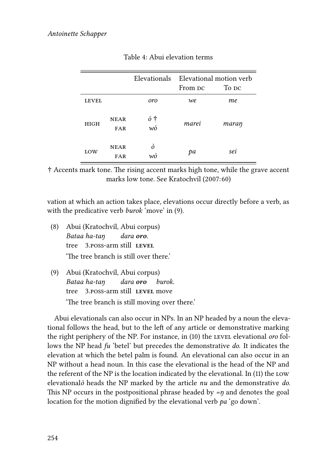|              |             | <b>Elevationals</b> | Elevational motion verb |                  |
|--------------|-------------|---------------------|-------------------------|------------------|
|              |             |                     | From <sub>DC</sub>      | To <sub>DC</sub> |
| <b>LEVEL</b> |             | oro                 | we                      | тe               |
| <b>HIGH</b>  | <b>NEAR</b> | ó†                  | marei                   |                  |
|              | FAR         | wó                  |                         | maran            |
|              | <b>NEAR</b> | ò                   |                         | sei              |
| LOW          | <b>FAR</b>  | wò                  | pa                      |                  |

#### <span id="page-7-2"></span>Table 4: Abui elevation terms

† Accents mark tone. The rising accent marks high tone, while the grave accent marks low tone. See [Kratochvíl \(2007](#page-36-6):60)

vation at which an action takes place, elevations occur directly before a verb, as with the predicative verb *burok* 'move' in([9](#page-7-1)).

- <span id="page-7-0"></span>(8) Abui (Kratochvíl, Abui corpus) *Bataa ha-taŋ* tree 3.poss-arm still **level** *dara oro.* 'The tree branch is still over there.'
- <span id="page-7-1"></span>(9) Abui (Kratochvíl, Abui corpus) *Bataa ha-taŋ* tree 3.poss-arm still **level** move *dara oro burok.* 'The tree branch is still moving over there.'

Abui elevationals can also occur in NPs. In an NP headed by a noun the elevational follows the head, but to the left of any article or demonstrative marking theright periphery of the NP. For instance, in ([10](#page-8-0)) the LEVEL elevational *oro* follows the NP head *fu* 'betel' but precedes the demonstrative *do*. It indicates the elevation at which the betel palm is found. An elevational can also occur in an NP without a head noun. In this case the elevational is the head of the NP and the referent of the NP is the location indicated by the elevational. In [\(11](#page-8-1)) the low elevational*ò* heads the NP marked by the article *nu* and the demonstrative *do*. This NP occurs in the postpositional phrase headed by *=ŋ* and denotes the goal location for the motion dignified by the elevational verb *pa* 'go down'.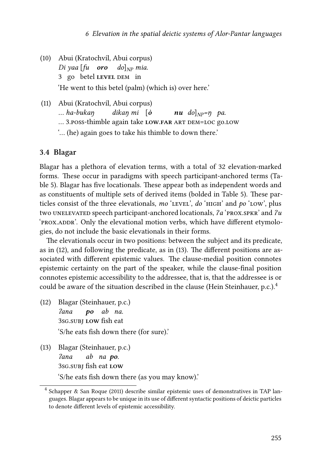- <span id="page-8-0"></span>(10) Abui (Kratochvíl, Abui corpus) *Di yaa* [*fu oro do*]*NP mia.* 3 go betel LEVEL DEM in 'He went to this betel (palm) (which is) over here.'
- <span id="page-8-1"></span>(11) Abui (Kratochvíl, Abui corpus)
	- *… ha-bukaŋ dikaŋ mi* [*ò nu do*]*NP=ŋ pa.*
	- ... 3.poss-thimble again take LOW.FAR ART DEM=LOC go.LOW
	- '… (he) again goes to take his thimble to down there.'

#### **3.4 Blagar**

Blagar has a plethora of elevation terms, with a total of 32 elevation-marked forms. These occur in paradigms with speech participant-anchored terms (Table [5](#page-9-0)). Blagar has five locationals. These appear both as independent words and as constituents of multiple sets of derived items (bolded in Table [5](#page-9-0)). These particles consist of the three elevationals, *mo* 'LEVEL', *do* 'HIGH' and *po* 'LOW', plus two unelevated speech participant-anchored locationals, *ʔa* 'prox.spkr' and *ʔ u* 'PROX.ADDR'. Only the elevational motion verbs, which have different etymologies, do not include the basic elevationals in their forms.

The elevationals occur in two positions: between the subject and its predicate, as in([12](#page-8-2)), and following the predicate, as in [\(13](#page-8-3)). The different positions are associated with different epistemic values. The clause-medial position connotes epistemic certainty on the part of the speaker, while the clause-final position connotes epistemic accessibility to the addressee, that is, that the addressee is or could be aware of the situation described in the clause (Hein Steinhauer, p.c.).<sup>4</sup>

- <span id="page-8-2"></span>(12) Blagar (Steinhauer, p.c.) *ʔana* 3sg.subj **low** fish eat *po ab na.* 'S/he eats fish down there (for sure).'
- <span id="page-8-3"></span>(13) Blagar (Steinhauer, p.c.) *ʔana* 3sg.subj fish eat **low** *ab na po.* 'S/he eats fish down there (as you may know).'

<sup>&</sup>lt;sup>4</sup> [Schapper & San Roque \(2011\)](#page-37-3) describe similar epistemic uses of demonstratives in TAP languages. Blagar appears to be unique in its use of different syntactic positions of deictic particles to denote different levels of epistemic accessibility.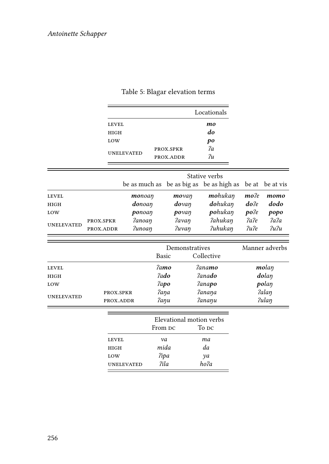|                      |                             |                                                     |                              | Locationals                             |                                 |                                                          |
|----------------------|-----------------------------|-----------------------------------------------------|------------------------------|-----------------------------------------|---------------------------------|----------------------------------------------------------|
|                      | <b>LEVEL</b>                |                                                     |                              | mo<br>$\boldsymbol{d}\boldsymbol{o}$    |                                 |                                                          |
|                      | <b>HIGH</b><br>LOW          |                                                     |                              | po                                      |                                 |                                                          |
|                      | <b>UNELEVATED</b>           |                                                     | PROX.SPKR<br>PROX.ADDR       | 2a<br>$\eta$                            |                                 |                                                          |
|                      |                             |                                                     |                              | Stative verbs                           |                                 |                                                          |
|                      | be as much as               |                                                     |                              | be as big as be as high as              | be at                           | be at vis                                                |
| <b>LEVEL</b><br>HIGH | monoan                      | donoan                                              | movan<br>down                | mohukan<br>dohukan                      | $\boldsymbol{mo}$ le<br>$do$ ?e | momo<br>dodo                                             |
| LOW                  |                             | ponoan                                              | povan                        | pohukan                                 | po?e                            | popo                                                     |
| <b>UNELEVATED</b>    | PROX.SPKR<br>PROX.ADDR      | <i><b>?anoan</b></i><br><i><u><b>lunoan</b></u></i> | <i>lavan</i><br><i>Puvan</i> | <i>?ahukan</i><br><i><u>luhukan</u></i> | <i>lale</i><br>2u               | ?a?a<br>2u                                               |
|                      |                             | Basic                                               | Demonstratives               | Collective                              |                                 | Manner adverbs                                           |
| <b>LEVEL</b>         |                             | $2$ amo                                             |                              | <i>lanamo</i>                           |                                 | molan                                                    |
| HIGH                 |                             | $2a$ do                                             |                              | <i>lanado</i>                           |                                 | dolan                                                    |
| LOW                  |                             | 2apo                                                |                              | <i>lanapo</i>                           |                                 | polan                                                    |
| <b>UNELEVATED</b>    | PROX.SPKR<br>PROX.ADDR      | <i>lana</i><br><i>laŋu</i>                          |                              | <i><b>?anaŋa</b></i><br><i>lananu</i>   |                                 | <i><u><b>Talan</b></u></i><br><i><u><b>?ulan</b></u></i> |
|                      |                             |                                                     | Elevational motion verbs     |                                         |                                 |                                                          |
|                      |                             | From <sub>DC</sub>                                  |                              | To <sub>DC</sub>                        |                                 |                                                          |
|                      | <b>LEVEL</b><br><b>HIGH</b> | va<br>mida                                          |                              | ma<br>da                                |                                 |                                                          |
|                      | LOW<br><b>UNELEVATED</b>    | <i>?ipa</i><br>?ila                                 |                              | $\gamma a$<br>ho?a                      |                                 |                                                          |

## <span id="page-9-0"></span>Table 5: Blagar elevation terms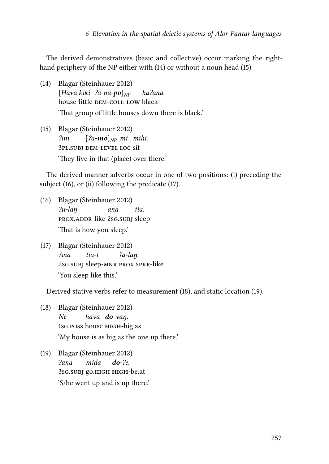The derived demonstratives (basic and collective) occur marking the righthand periphery of the NP either with([14](#page-10-0)) or without a noun head [\(15\)](#page-10-1).

- <span id="page-10-0"></span>(14) Blagar [\(Steinhauer 2012\)](#page-37-5) [*Hava kiki ʔa-na-po*]*NP* house little <mark>DEM-COLL-LOW black</mark> *kaʔana.* 'That group of little houses down there is black.'
- <span id="page-10-1"></span>(15) Blagar [\(Steinhauer 2012\)](#page-37-5) *ʔini* 3pl.subj dem-level loc sit [*ʔa-mo*]*NP mi mihi.* 'They live in that (place) over there.'

The derived manner adverbs occur in one of two positions: (i) preceding the subject([16\)](#page-10-2), or (ii) following the predicate ([17](#page-10-3)).

- <span id="page-10-2"></span>(16) Blagar [\(Steinhauer 2012\)](#page-37-5) *ʔu-laŋ* prox.addr-like 2sg.subj sleep *ana tia.* 'That is how you sleep.'
- <span id="page-10-3"></span>(17) Blagar [\(Steinhauer 2012\)](#page-37-5) *Ana* 2sg.subj sleep-mnr prox.spkr-like *tia-t ʔa-laŋ.* 'You sleep like this.'

Derived stative verbs refer to measurement([18\)](#page-10-4), and static location([19\)](#page-10-5).

- <span id="page-10-4"></span>(18) Blagar [\(Steinhauer 2012\)](#page-37-5) *Ne* 1sg.poss house **high**-big.as *hava do-vaŋ.* 'My house is as big as the one up there.'
- <span id="page-10-5"></span>(19) Blagar [\(Steinhauer 2012\)](#page-37-5) *ʔana* 3sg.subj go.high **high**-be.at *mida do-ʔe.* 'S/he went up and is up there.'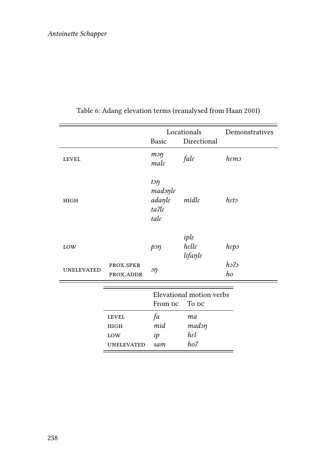|                   |                        | <b>Basic</b>                                                                          | Locationals<br>Directional                                  | Demonstratives               |
|-------------------|------------------------|---------------------------------------------------------------------------------------|-------------------------------------------------------------|------------------------------|
| <b>LEVEL</b>      |                        | məŋ<br>male                                                                           | false                                                       | $h$ $em$                     |
| <b>HIGH</b>       |                        | ton<br>$mad\n$<br>$adapl\epsilon$<br>$ta$ <sup>2</sup> $\ell$<br>$t$ al $\varepsilon$ | $midl\epsilon$                                              | $h$ $\varepsilon$ t $\sigma$ |
| LOW               |                        | pon                                                                                   | $ipl\varepsilon$<br>$h$ <i>ell</i> $\varepsilon$<br>lifanle | hep                          |
| <b>UNELEVATED</b> | PROX.SPKR<br>PROX.ADDR | эŋ                                                                                    |                                                             | $h$ <sup>23</sup><br>ho      |
|                   |                        |                                                                                       |                                                             |                              |
|                   |                        |                                                                                       | Elevational motion verbs                                    |                              |
|                   |                        | From DC                                                                               | To DC                                                       |                              |
|                   | <b>LEVEL</b>           | fa                                                                                    | ma                                                          |                              |
|                   | <b>HIGH</b>            | mid                                                                                   | madon                                                       |                              |
|                   | LOW                    | ip                                                                                    | $h\epsilon l$                                               |                              |
|                   | <b>UNELEVATED</b>      | sam                                                                                   | ho?                                                         |                              |

## <span id="page-11-0"></span>Table 6: Adang elevation terms (reanalysed from [Haan 2001\)](#page-35-7)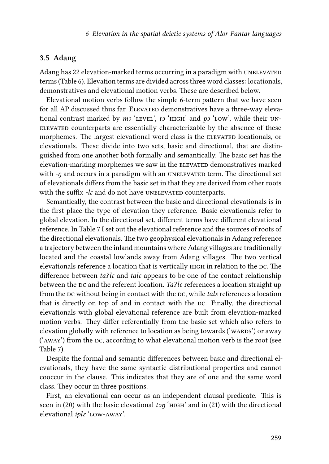#### <span id="page-12-0"></span>**3.5 Adang**

Adang has 22 elevation-marked terms occurring in a paradigm with UNELEVATED terms (Table [6\)](#page-11-0). Elevation terms are divided across three word classes: locationals, demonstratives and elevational motion verbs. These are described below.

Elevational motion verbs follow the simple 6-term pattern that we have seen for all AP discussed thus far. ELEVATED demonstratives have a three-way elevational contrast marked by *m*<sup>3</sup> 'LEVEL', *t*<sup>3</sup> 'HIGH' and *p*<sup>3</sup> 'LOW', while their UNelevated counterparts are essentially characterizable by the absence of these morphemes. The largest elevational word class is the ELEVATED locationals, or elevationals. These divide into two sets, basic and directional, that are distinguished from one another both formally and semantically. The basic set has the elevation-marking morphemes we saw in the ELEVATED demonstratives marked with  $-\eta$  and occurs in a paradigm with an unelevated term. The directional set of elevationals differs from the basic set in that they are derived from other roots with the suffix *-le* and do not have UNELEVATED counterparts.

Semantically, the contrast between the basic and directional elevationals is in the first place the type of elevation they reference. Basic elevationals refer to global elevation. In the directional set, different terms have different elevational reference. In Table [7](#page-13-0) I set out the elevational reference and the sources of roots of the directional elevationals. The two geophysical elevationals in Adang reference a trajectory between the inland mountains where Adang villages are traditionally located and the coastal lowlands away from Adang villages. The two vertical elevationals reference a location that is vertically нисн in relation to the DC. The difference between *taʔlε* and *talε* appears to be one of the contact relationship between the DC and the referent location. *Ta?lε* references a location straight up from the dc without being in contact with the dc, while *talε* references a location that is directly on top of and in contact with the DC. Finally, the directional elevationals with global elevational reference are built from elevation-marked motion verbs. They differ referentially from the basic set which also refers to elevation globally with reference to location as being towards ('WARDS') or away  $('AWA')$  from the  $pc$ , according to what elevational motion verb is the root (see Table [7](#page-13-0)).

Despite the formal and semantic differences between basic and directional elevationals, they have the same syntactic distributional properties and cannot cooccur in the clause. This indicates that they are of one and the same word class. They occur in three positions.

<span id="page-12-1"></span>First, an elevational can occur as an independent clausal predicate. This is seenin ([20](#page-12-1)) with the basic elevational *t on* 'HIGH' and in ([21\)](#page-13-1) with the directional elevational *iplε* 'LOW-AWAY'.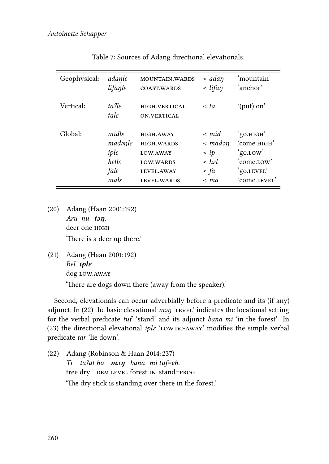| Geophysical: | $adan\mathrm{l}\varepsilon$ | <b>MOUNTAIN.WARDS</b>        | <i>&lt; adan</i>   | 'mountain'   |
|--------------|-----------------------------|------------------------------|--------------------|--------------|
|              | lifan <i>l</i>              | COAST.WARDS                  | $\langle$ lifan    | 'anchor'     |
| Vertical:    | ta?lɛ<br>tals               | HIGH.VERTICAL<br>ON.VERTICAL | < ta               | '(put) on'   |
| Global:      | midle                       | HIGH.AWAY                    | $\leq mid$         | 'go.HIGH'    |
|              | $mad\ni\eta$ le             | <b>HIGH.WARDS</b>            | $\leq$ madon       | 'come.нисн'  |
|              | $ipl\varepsilon$            | <b>LOW.AWAY</b>              | $\langle i\rangle$ | 'go.LOW'     |
|              | helle                       | LOW.WARDS                    | $\langle$ hel      | 'come.LOW'   |
|              | false                       | LEVEL.AWAY                   | < fa               | 'go.LEVEL'   |
|              | male                        | LEVEL.WARDS                  | < ma               | 'come.lEVEL' |

<span id="page-13-0"></span>Table 7: Sources of Adang directional elevationals.

- (20) Adang([Haan 2001](#page-35-7):192) *Aru nu tɔŋ.* deer one ні<sub>GH</sub> 'There is a deer up there.'
- <span id="page-13-1"></span>(21) Adang [\(Haan 2001:](#page-35-7)192) *Bel iplε.* dog low.away 'There are dogs down there (away from the speaker).'

Second, elevationals can occur adverbially before a predicate and its (if any) adjunct.In ([22](#page-13-2)) the basic elevational *mon* 'LEVEL' indicates the locational setting for the verbal predicate *tuf* 'stand' and its adjunct *bana mi* 'in the forest'. In [\(23\)](#page-13-3) the directional elevational *iplε* 'LOW.DC-AWAY' modifies the simple verbal predicate *tar* 'lie down'.

<span id="page-13-3"></span><span id="page-13-2"></span>(22) Adang([Robinson & Haan 2014:](#page-36-7)237) *Ti taʔat ho mɔŋ bana mi tuf=eh.* tree dry DEM LEVEL forest IN stand=PROG 'The dry stick is standing over there in the forest.'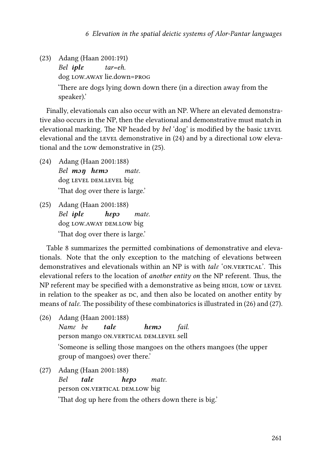(23) Adang [\(Haan 2001:](#page-35-7)191) *Bel iplε* dog low.away lie.down=prog *tar=eh.* 'There are dogs lying down down there (in a direction away from the speaker).'

Finally, elevationals can also occur with an NP. Where an elevated demonstrative also occurs in the NP, then the elevational and demonstrative must match in elevational marking. The NP headed by *bel* 'dog' is modified by the basic LEVEL elevationaland the LEVEL demonstrative in  $(24)$  $(24)$  $(24)$  and by a directional LOW elevational and the low demonstrative in [\(25](#page-14-1)).

- <span id="page-14-0"></span>(24) Adang [\(Haan 2001:](#page-35-7)188) *Bel mɔŋ hεmɔ* dog level dem.level big *matε.* 'That dog over there is large.'
- <span id="page-14-1"></span>(25) Adang([Haan 2001](#page-35-7):188) *Bel iplε* dog low.away dem.low big *hεpɔ matε.* 'That dog over there is large.'

Table [8](#page-15-0) summarizes the permitted combinations of demonstrative and elevationals. Note that the only exception to the matching of elevations between demonstratives and elevationals within an NP is with *tale* 'ON.VERTICAL'. This elevational refers to the location of *another entity on* the NP referent. Thus, the NP referent may be specified with a demonstrative as being HIGH, LOW or LEVEL in relation to the speaker as DC, and then also be located on another entity by means of *talε*. The possibility of these combinatorics is illustrated in([26](#page-14-2)) and [\(27](#page-14-3)).

- <span id="page-14-2"></span>(26) Adang [\(Haan 2001:](#page-35-7)188) *Namε be* person mango on.vertical dem.level sell *talε hεmɔ fail.* 'Someone is selling those mangoes on the others mangoes (the upper group of mangoes) over there.'
- <span id="page-14-3"></span>(27) Adang([Haan 2001](#page-35-7):188) *Bel* person on.vertical dem.low big *talε hεpɔ matε.* 'That dog up here from the others down there is big.'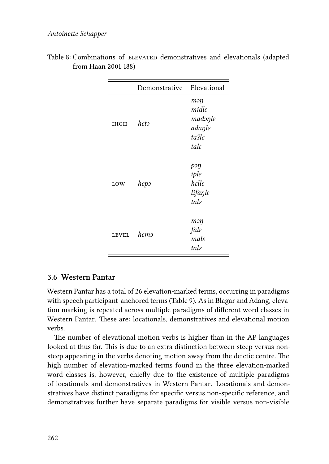|              | Demonstrative | Elevational                                                                                   |
|--------------|---------------|-----------------------------------------------------------------------------------------------|
| <b>HIGH</b>  | heto          | тэп<br>midle<br>$mad\eta$ l $\varepsilon$<br>$adapl\epsilon$<br>ta?lɛ<br>$t$ al $\varepsilon$ |
| LOW          | һεрэ          | pon<br>$ipl\varepsilon$<br>$h$ <i>ell</i> $\varepsilon$<br>lif angle<br>$t$ al $\varepsilon$  |
| <b>LEVEL</b> | hemo          | məŋ<br>false<br>male<br>tale                                                                  |

<span id="page-15-0"></span>Table 8: Combinations of ELEVATED demonstratives and elevationals (adapted from [Haan 2001](#page-35-7):188)

#### **3.6 Western Pantar**

Western Pantar has a total of 26 elevation-marked terms, occurring in paradigms with speech participant-anchored terms (Table [9](#page-16-0)). As in Blagar and Adang, elevation marking is repeated across multiple paradigms of different word classes in Western Pantar. These are: locationals, demonstratives and elevational motion verbs.

The number of elevational motion verbs is higher than in the AP languages looked at thus far. This is due to an extra distinction between steep versus nonsteep appearing in the verbs denoting motion away from the deictic centre. The high number of elevation-marked terms found in the three elevation-marked word classes is, however, chiefly due to the existence of multiple paradigms of locationals and demonstratives in Western Pantar. Locationals and demonstratives have distinct paradigms for specific versus non-specific reference, and demonstratives further have separate paradigms for visible versus non-visible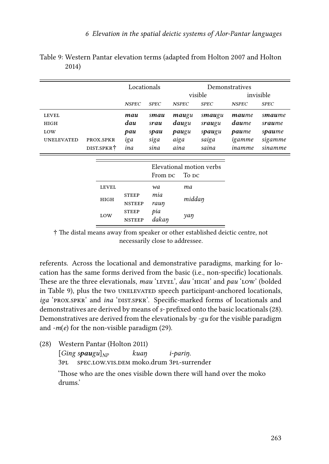|                   |                        | Locationals                   |                    |      |                  |                          | Demonstratives |             |  |
|-------------------|------------------------|-------------------------------|--------------------|------|------------------|--------------------------|----------------|-------------|--|
|                   |                        |                               |                    |      |                  | visible                  |                | invisible   |  |
|                   |                        | <b>NSPEC</b>                  | <b>SPEC</b>        |      | <b>NSPEC</b>     | <b>SPEC</b>              | <b>NSPEC</b>   | <b>SPEC</b> |  |
| <b>LEVEL</b>      |                        | mau                           | smau               |      | maugu            | smaugu                   | maume          | smaume      |  |
| <b>HIGH</b>       |                        | dau                           | srau               |      | daugu            | sraugu                   | daume          | sraume      |  |
| LOW               |                        | pau                           | spau               |      | paugu            | spaugu                   | paume          | spaume      |  |
| <b>UNELEVATED</b> | PROX.SPKR              | iga                           | siga               | aiga |                  | saiga                    | igamme         | sigamme     |  |
|                   | DIST.SPKR <sup>+</sup> | ina                           | sina               | aina |                  | saina                    | inamme         | sinamme     |  |
|                   |                        |                               |                    |      |                  |                          |                |             |  |
|                   |                        |                               |                    |      |                  | Elevational motion verbs |                |             |  |
|                   |                        |                               | From <sub>DC</sub> |      | To <sub>DC</sub> |                          |                |             |  |
|                   | <b>LEVEL</b>           |                               | wa                 |      | mа               |                          |                |             |  |
|                   | <b>HIGH</b>            | <b>STEEP</b><br><b>NSTEEP</b> | mia<br>raun        |      | middan           |                          |                |             |  |
|                   | LOW                    | <b>STEEP</b><br><b>NSTEEP</b> | pia<br>dakan       |      | yan              |                          |                |             |  |

<span id="page-16-0"></span>Table 9: Western Pantar elevation terms (adapted from [Holton 2007](#page-35-8) and [Holton](#page-35-9) [2014](#page-35-9))

† The distal means away from speaker or other established deictic centre, not necessarily close to addressee.

referents. Across the locational and demonstrative paradigms, marking for location has the same forms derived from the basic (i.e., non-specific) locationals. These are the three elevationals, *mau* 'LEVEL', *dau* 'HIGH' and *pau* 'LOW' (bolded in Table [9](#page-16-0)), plus the two UNELEVATED speech participant-anchored locationals, *iga* 'PROX.SPKR' and *ina* 'DIST.SPKR'. Specific-marked forms of locationals and demonstratives are derived by means of *s-* prefixed onto the basic locationals [\(28](#page-16-1)). Demonstratives are derived from the elevationals by *-gu* for the visible paradigm and *-m*(*e*) for the non-visible paradigm([29](#page-16-2)).

<span id="page-16-1"></span>(28) Western Pantar [\(Holton 2011](#page-35-10))

<span id="page-16-2"></span>[*Ging spaugu*]*NP* 3pl spec.low.vis.dem moko.drum 3pl-surrender *kuaŋ i-pariŋ.* 'Those who are the ones visible down there will hand over the moko drums.'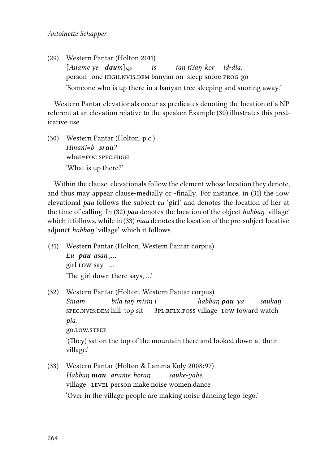(29) Western Pantar [\(Holton 2011\)](#page-35-10) [*Aname ye daum*]*NP* person) one <code>HIGH.NVIS.DEM</code> banyan on sleep snore <code>prog-go</code> *is taŋ tiʔaŋ kor id-dia.* 'Someone who is up there in a banyan tree sleeping and snoring away.'

Western Pantar elevationals occur as predicates denoting the location of a NP referent at an elevation relative to the speaker. Example([30](#page-17-0)) illustrates this predicative use.

<span id="page-17-0"></span>(30) Western Pantar (Holton, p.c.) *Hinani=b srau?* what=foc spec.high 'What is up there?'

Within the clause, elevationals follow the element whose location they denote, and thus may appear clause-medially or -finally. For instance, in([31\)](#page-17-1) the low elevational *pau* follows the subject *eu* 'girl' and denotes the location of her at the time of calling. In([32](#page-17-2)) *pau* denotes the location of the object *habbaŋ* 'village' which it follows, while in [\(33](#page-17-3)) *mau* denotes the location of the pre-subject locative adjunct *habbaŋ* 'village' which it follows.

- <span id="page-17-1"></span>(31) Western Pantar (Holton, Western Pantar corpus) *Eu pau asaŋ ,…* girl low say … 'The girl down there says, …'
- <span id="page-17-2"></span>(32) Western Pantar (Holton, Western Pantar corpus) *Sinam* spec.nvis.dem hill top sit 3pl.r.flx.poss village tow toward watch *bila taŋ misiŋ i habbaŋ pau ya saukaŋ pia.* go.low.steep '(They) sat on the top of the mountain there and looked down at their village.'
- <span id="page-17-3"></span>(33) Western Pantar [\(Holton & Lamma Koly 2008:](#page-36-8)97) *Habbaŋ mau aname horaŋ* village LEVEL person make.noise women.dance *sauke-yabe.* 'Over in the village people are making noise dancing lego-lego.'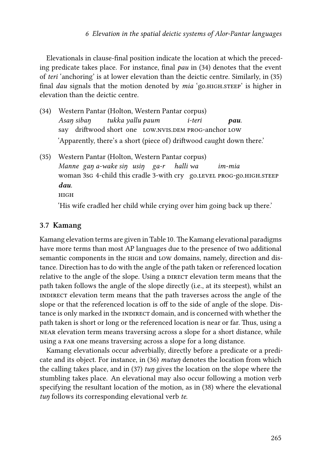Elevationals in clause-final position indicate the location at which the preceding predicate takes place. For instance, final *pau* in [\(34](#page-18-0)) denotes that the event of *teri* 'anchoring' is at lower elevation than the deictic centre. Similarly, in([35\)](#page-18-1) final *dau* signals that the motion denoted by *mia* 'go.HIGH.STEEP' is higher in elevation than the deictic centre.

- <span id="page-18-0"></span>(34) Western Pantar (Holton, Western Pantar corpus) *Asaŋ sibaŋ* say driftwood short one LOW.NVIS.DEM PROG-anchor LOW *tukka yallu paum i-teri pau.* 'Apparently, there's a short (piece of) driftwood caught down there.'
- <span id="page-18-1"></span>(35) Western Pantar (Holton, Western Pantar corpus) *Manne gaŋ a-wake siŋ usiŋ ga-r halli wa* woman 3sg 4-child this cradle 3-with cry go.level prog-go.high.steep *im-mia dau.* high

'His wife cradled her child while crying over him going back up there.'

#### **3.7 Kamang**

Kamang elevation terms are given in Table [10](#page-19-1). The Kamang elevational paradigms have more terms than most AP languages due to the presence of two additional semantic components in the HIGH and LOW domains, namely, direction and distance. Direction has to do with the angle of the path taken or referenced location relative to the angle of the slope. Using a DIRECT elevation term means that the path taken follows the angle of the slope directly (i.e., at its steepest), whilst an INDIRECT elevation term means that the path traverses across the angle of the slope or that the referenced location is off to the side of angle of the slope. Distance is only marked in the INDIRECT domain, and is concerned with whether the path taken is short or long or the referenced location is near or far. Thus, using a near elevation term means traversing across a slope for a short distance, while using a far one means traversing across a slope for a long distance.

<span id="page-18-2"></span>Kamang elevationals occur adverbially, directly before a predicate or a predicate and its object. For instance, in [\(36](#page-18-2)) *mutuŋ* denotes the location from which the calling takes place, and in([37\)](#page-19-2) *tuŋ* gives the location on the slope where the stumbling takes place. An elevational may also occur following a motion verb specifying the resultant location of the motion, as in [\(38\)](#page-19-3) where the elevational *tuŋ* follows its corresponding elevational verb *te*.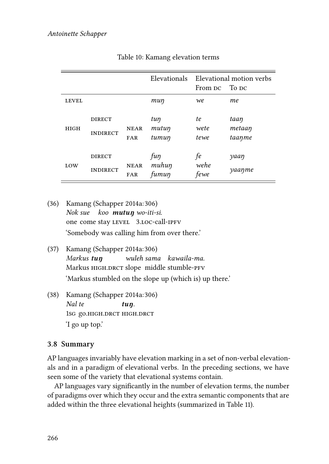|              |                                  |                           | Elevationals          | From <sub>DC</sub> | Elevational motion verbs<br>To dc |
|--------------|----------------------------------|---------------------------|-----------------------|--------------------|-----------------------------------|
| <b>LEVEL</b> |                                  |                           | mun                   | we                 | тe                                |
| <b>HIGH</b>  | <b>DIRECT</b><br><b>INDIRECT</b> | <b>NEAR</b><br><b>FAR</b> | tun<br>mutun<br>tumun | te<br>wete<br>tewe | taan<br>metaan<br>taanme          |
| LOW          | <b>DIRECT</b><br><b>INDIRECT</b> | <b>NEAR</b><br><b>FAR</b> | fun<br>muhun<br>fumun | fe<br>wehe<br>fewe | yaan<br>yaanme                    |

#### <span id="page-19-1"></span>Table 10: Kamang elevation terms

- (36) Kamang([Schapper 2014a](#page-36-9):306) *Nok sue koo mutuŋ wo-iti-si.* one come stay level 3.loc-call-ipfv 'Somebody was calling him from over there.'
- <span id="page-19-2"></span>(37) Kamang([Schapper 2014a](#page-36-9):306) *Markus tuŋ* Markus HIGH.DRCT slope middle stumble-PFV *wuleh sama kawaila-ma.* 'Markus stumbled on the slope up (which is) up there.'
- <span id="page-19-3"></span>(38) Kamang([Schapper 2014a](#page-36-9):306) *Nal te* 1sg go.HIGH.DRCT HIGH.DRCT *tuŋ.* 'I go up top.'

#### <span id="page-19-0"></span>**3.8 Summary**

AP languages invariably have elevation marking in a set of non-verbal elevationals and in a paradigm of elevational verbs. In the preceding sections, we have seen some of the variety that elevational systems contain.

AP languages vary significantly in the number of elevation terms, the number of paradigms over which they occur and the extra semantic components that are added within the three elevational heights (summarized in Table [11\)](#page-20-0).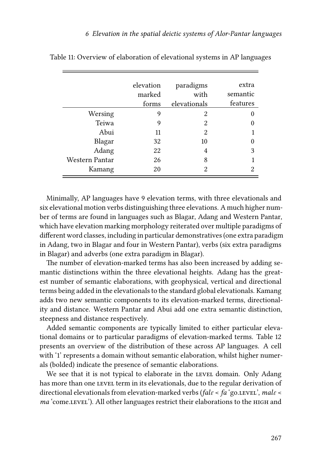|                | elevation | paradigms    | extra    |
|----------------|-----------|--------------|----------|
|                | marked    | with         | semantic |
|                | forms     | elevationals | features |
| Wersing        | 9         | 2            | 0        |
| Teiwa          | 9         | 2            |          |
| Abui           | 11        | 2            |          |
| Blagar         | 32        | 10           | 0        |
| Adang          | 22        | 4            | 3        |
| Western Pantar | 26        | 8            |          |
| Kamang         | 20        | 2            | 2        |

<span id="page-20-0"></span>Table 11: Overview of elaboration of elevational systems in AP languages

Minimally, AP languages have 9 elevation terms, with three elevationals and six elevational motion verbs distinguishing three elevations. A much higher number of terms are found in languages such as Blagar, Adang and Western Pantar, which have elevation marking morphology reiterated over multiple paradigms of different word classes, including in particular demonstratives (one extra paradigm in Adang, two in Blagar and four in Western Pantar), verbs (six extra paradigms in Blagar) and adverbs (one extra paradigm in Blagar).

The number of elevation-marked terms has also been increased by adding semantic distinctions within the three elevational heights. Adang has the greatest number of semantic elaborations, with geophysical, vertical and directional terms being added in the elevationals to the standard global elevationals. Kamang adds two new semantic components to its elevation-marked terms, directionality and distance. Western Pantar and Abui add one extra semantic distinction, steepness and distance respectively.

Added semantic components are typically limited to either particular elevational domains or to particular paradigms of elevation-marked terms. Table [12](#page-21-0) presents an overview of the distribution of these across AP languages. A cell with '1' represents a domain without semantic elaboration, whilst higher numerals (bolded) indicate the presence of semantic elaborations.

We see that it is not typical to elaborate in the LEVEL domain. Only Adang has more than one LEVEL term in its elevationals, due to the regular derivation of directional elevationals from elevation-marked verbs (*falε* < *fa* 'go.level', *malε* < *ma* 'come.level'). All other languages restrict their elaborations to the high and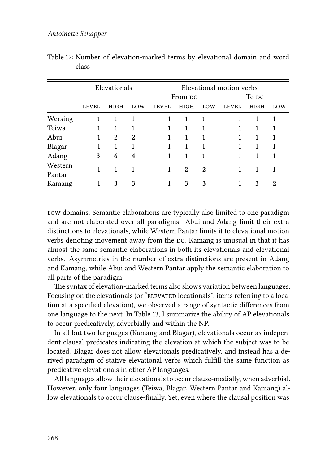|                   | Elevationals |                |                | Elevational motion verbs |                    |              |              |                  |     |
|-------------------|--------------|----------------|----------------|--------------------------|--------------------|--------------|--------------|------------------|-----|
|                   |              |                |                |                          | From <sub>DC</sub> |              |              | To <sub>DC</sub> |     |
|                   | <b>LEVEL</b> | <b>HIGH</b>    | LOW            | <b>LEVEL</b>             | <b>HIGH</b>        | LOW          | <b>LEVEL</b> | <b>HIGH</b>      | LOW |
| Wersing           |              | 1              | 1              |                          | 1                  | 1            | 1            | 1                | 1   |
| Teiwa             |              | 1              | 1              |                          | 1                  | 1            | 1            | 1                |     |
| Abui              |              | $\overline{2}$ | $\overline{2}$ |                          | 1                  | 1            | 1            | 1                |     |
| Blagar            |              | 1              | 1              | 1                        | 1                  | 1            | 1            | 1                |     |
| Adang             | 3            | 6              | $\overline{4}$ |                          | 1                  | 1            | 1            | 1                |     |
| Western<br>Pantar | 1            | 1              | 1              |                          | 2                  | $\mathbf{2}$ |              | 1                |     |
| Kamang            |              | 3              | 3              |                          | 3                  | 3            |              | 3                | 2   |

<span id="page-21-0"></span>Table 12: Number of elevation-marked terms by elevational domain and word class

low domains. Semantic elaborations are typically also limited to one paradigm and are not elaborated over all paradigms. Abui and Adang limit their extra distinctions to elevationals, while Western Pantar limits it to elevational motion verbs denoting movement away from the DC. Kamang is unusual in that it has almost the same semantic elaborations in both its elevationals and elevational verbs. Asymmetries in the number of extra distinctions are present in Adang and Kamang, while Abui and Western Pantar apply the semantic elaboration to all parts of the paradigm.

The syntax of elevation-marked terms also shows variation between languages. Focusing on the elevationals (or "ELEVATED locationals", items referring to a location at a specified elevation), we observed a range of syntactic differences from one language to the next. In Table [13,](#page-22-0) I summarize the ability of AP elevationals to occur predicatively, adverbially and within the NP.

In all but two languages (Kamang and Blagar), elevationals occur as independent clausal predicates indicating the elevation at which the subject was to be located. Blagar does not allow elevationals predicatively, and instead has a derived paradigm of stative elevational verbs which fulfill the same function as predicative elevationals in other AP languages.

All languages allow their elevationals to occur clause-medially, when adverbial. However, only four languages (Teiwa, Blagar, Western Pantar and Kamang) allow elevationals to occur clause-finally. Yet, even where the clausal position was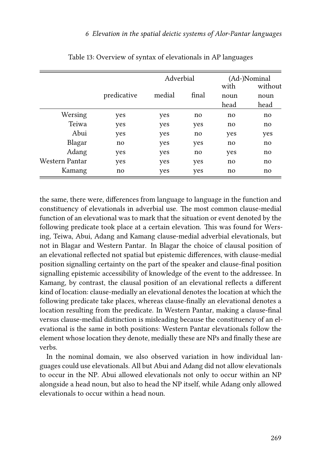|                |             | Adverbial |       |      | (Ad-)Nominal |  |
|----------------|-------------|-----------|-------|------|--------------|--|
|                |             |           |       | with | without      |  |
|                | predicative | medial    | final | noun | noun         |  |
|                |             |           |       | head | head         |  |
| Wersing        | yes         | yes       | no    | no   | no           |  |
| Teiwa          | yes         | yes       | yes   | no   | no           |  |
| Abui           | yes         | yes       | no    | yes  | yes          |  |
| Blagar         | no          | yes       | yes   | no   | no           |  |
| Adang          | yes         | yes       | no    | yes  | no           |  |
| Western Pantar | yes         | yes       | yes   | no   | no           |  |
| Kamang         | no          | yes       | yes   | no   | no           |  |

#### <span id="page-22-0"></span>Table 13: Overview of syntax of elevationals in AP languages

the same, there were, differences from language to language in the function and constituency of elevationals in adverbial use. The most common clause-medial function of an elevational was to mark that the situation or event denoted by the following predicate took place at a certain elevation. This was found for Wersing, Teiwa, Abui, Adang and Kamang clause-medial adverbial elevationals, but not in Blagar and Western Pantar. In Blagar the choice of clausal position of an elevational reflected not spatial but epistemic differences, with clause-medial position signalling certainty on the part of the speaker and clause-final position signalling epistemic accessibility of knowledge of the event to the addressee. In Kamang, by contrast, the clausal position of an elevational reflects a different kind of location: clause-medially an elevational denotes the location at which the following predicate take places, whereas clause-finally an elevational denotes a location resulting from the predicate. In Western Pantar, making a clause-final versus clause-medial distinction is misleading because the constituency of an elevational is the same in both positions: Western Pantar elevationals follow the element whose location they denote, medially these are NPs and finally these are verbs.

In the nominal domain, we also observed variation in how individual languages could use elevationals. All but Abui and Adang did not allow elevationals to occur in the NP. Abui allowed elevationals not only to occur within an NP alongside a head noun, but also to head the NP itself, while Adang only allowed elevationals to occur within a head noun.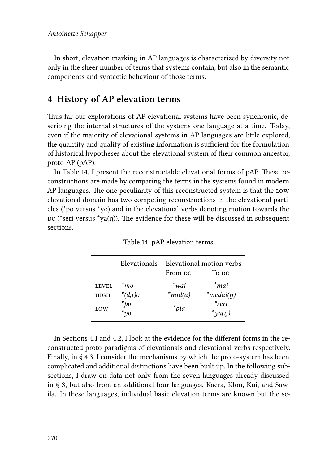In short, elevation marking in AP languages is characterized by diversity not only in the sheer number of terms that systems contain, but also in the semantic components and syntactic behaviour of those terms.

## <span id="page-23-0"></span>**4 History of AP elevation terms**

Thus far our explorations of AP elevational systems have been synchronic, describing the internal structures of the systems one language at a time. Today, even if the majority of elevational systems in AP languages are little explored, the quantity and quality of existing information is sufficient for the formulation of historical hypotheses about the elevational system of their common ancestor, proto-AP (pAP).

In Table [14](#page-23-1), I present the reconstructable elevational forms of pAP. These reconstructions are made by comparing the terms in the systems found in modern AP languages. The one peculiarity of this reconstructed system is that the low elevational domain has two competing reconstructions in the elevational particles (\*po versus \*yo) and in the elevational verbs denoting motion towards the Dc (\*seri versus \*ya(ŋ)). The evidence for these will be discussed in subsequent sections.

|              | Elevationals              | Elevational motion verbs |                        |
|--------------|---------------------------|--------------------------|------------------------|
|              |                           | From <sub>DC</sub>       | To <sub>DC</sub>       |
| <b>LEVEL</b> | $\cdot m_0$               | $\sqrt[k]{i}$            | *mai                   |
| <b>HIGH</b>  | $*(d,t)$ o                | $*mid(a)$                | $*$ medai( $\eta$ )    |
| LOW          | $\int_{-\infty}^{\infty}$ | $^*$ pia                 | *seri<br>$^*$ va $(n)$ |

<span id="page-23-1"></span>Table 14: pAP elevation terms

In Sections [4.1](#page-24-0) and [4.2,](#page-26-0) I look at the evidence for the different forms in the reconstructed proto-paradigms of elevationals and elevational verbs respectively. Finally, in § [4.3](#page-28-0), I consider the mechanisms by which the proto-system has been complicated and additional distinctions have been built up. In the following subsections, I draw on data not only from the seven languages already discussed in § [3,](#page-4-0) but also from an additional four languages, Kaera, Klon, Kui, and Sawila. In these languages, individual basic elevation terms are known but the se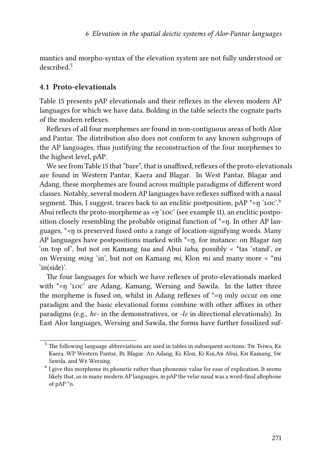mantics and morpho-syntax of the elevation system are not fully understood or described<sup>5</sup>

#### <span id="page-24-0"></span>**4.1 Proto-elevationals**

Table [15](#page-25-0) presents pAP elevationals and their reflexes in the eleven modern AP languages for which we have data. Bolding in the table selects the cognate parts of the modern reflexes.

Reflexes of all four morphemes are found in non-contiguous areas of both Alor and Pantar. The distribution also does not conform to any known subgroups of the AP languages, thus justifying the reconstruction of the four morphemes to the highest level, pAP.

We see from Table [15](#page-25-0) that "bare", that is unaffixed, reflexes of the proto-elevationals are found in Western Pantar, Kaera and Blagar. In West Pantar, Blagar and Adang, these morphemes are found across multiple paradigms of different word classes. Notably, several modern AP languages have reflexes suffixed with a nasal segment. This, I suggest, traces back to an enclitic postposition,  $pAP * = \eta' \text{loc}^6$ Abui reflects the proto-morpheme as  $=\eta$  'LOC' (see example [11](#page-8-1)), an enclitic postposition closely resembling the probable original function of  $*=$ n. In other AP languages, \*=ŋ is preserved fused onto a range of location-signifying words. Many AP languages have postpositions marked with \*=ŋ, for instance: on Blagar *taŋ* 'on top of', but not on Kamang *taa* and Abui *taha*, possibly < \*tas 'stand', or on Wersing *ming* 'in', but not on Kamang *mi*, Klon *mi* and many more < \*mi 'in(side)'.

The four languages for which we have reflexes of proto-elevationals marked with  $* = \eta$  'LOC' are Adang, Kamang, Wersing and Sawila. In the latter three the morpheme is fused on, whilst in Adang reflexes of  $*=$ n only occur on one paradigm and the basic elevational forms combine with other affixes in other paradigms (e.g., *hε-* in the demonstratives, or *-lε* in directional elevationals). In East Alor languages, Wersing and Sawila, the forms have further fossilized suf-

 $<sup>5</sup>$  The following language abbreviations are used in tables in subsequent sections: Tw Teiwa, KE</sup> Kaera, WP Western Pantar, BL Blagar, AD Adang, KL Klon, KI Kui,AB Abui, KM Kamang, Sw Sawila, and We Wersing.

 $<sup>6</sup>$  I give this morpheme its phonetic rather than phonemic value for ease of explication. It seems</sup> likely that, as in many modern AP languages, in pAP the velar nasal was a word-final allophone of pAP \*n.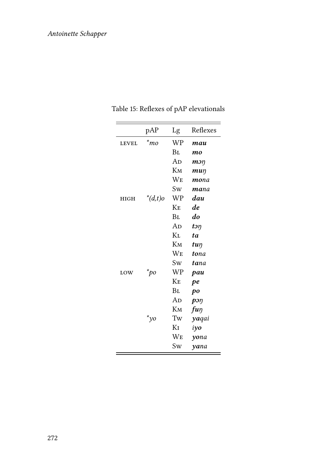|              | pAP                    | Lg             | Reflexes           |
|--------------|------------------------|----------------|--------------------|
| <b>LEVEL</b> | $\boldsymbol{\dot{m}}$ | WP             | mau                |
|              |                        | Bl.            | mo                 |
|              |                        | A <sub>D</sub> | $m$ o $\eta$       |
|              |                        | Kм             | mu                 |
|              |                        | $\rm{W}\rm{E}$ | mona               |
|              |                        | Sw             | mana               |
| <b>HIGH</b>  | $*(d,t)$ o             | <b>WP</b>      | dau                |
|              |                        | Kе             | de                 |
|              |                        | B <sub>L</sub> | do                 |
|              |                        | A <sub>D</sub> | təŋ                |
|              |                        | Kl             | ta                 |
|              |                        | Kм             | tuŋ                |
|              |                        | Wе             | tona               |
|              |                        | Sw             | tana               |
| LOW          | *po                    | WP             | pau                |
|              |                        | Kе             | pe                 |
|              |                        | B <sub>L</sub> | po                 |
|              |                        | A <sub>D</sub> | $p_{\partial\eta}$ |
|              |                        | Kм             | $f$ <i>u</i>       |
|              | $^{\ast}$ yo           | Tw             | yaqai              |
|              |                        | Kі             | iyo                |
|              |                        | $\rm{W}\rm{E}$ | yona               |
|              |                        | Sw             | yana               |

<span id="page-25-0"></span>Table 15: Reflexes of pAP elevationals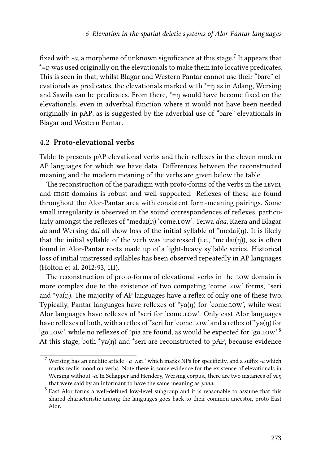fixed with *-a*, a morpheme of unknown significance at this stage.<sup>7</sup> It appears that \*=ŋ was used originally on the elevationals to make them into locative predicates. This is seen in that, whilst Blagar and Western Pantar cannot use their "bare" elevationals as predicates, the elevationals marked with  $* = \eta$  as in Adang, Wersing and Sawila can be predicates. From there, \*=ŋ would have become fixed on the elevationals, even in adverbial function where it would not have been needed originally in pAP, as is suggested by the adverbial use of "bare" elevationals in Blagar and Western Pantar.

#### <span id="page-26-0"></span>**4.2 Proto-elevational verbs**

Table [16](#page-27-0) presents pAP elevational verbs and their reflexes in the eleven modern AP languages for which we have data. Differences between the reconstructed meaning and the modern meaning of the verbs are given below the table.

The reconstruction of the paradigm with proto-forms of the verbs in the LEVEL and high domains is robust and well-supported. Reflexes of these are found throughout the Alor-Pantar area with consistent form-meaning pairings. Some small irregularity is observed in the sound correspondences of reflexes, particularly amongst the reflexes of \*medai(ŋ) 'come.low'. Teiwa *daa*, Kaera and Blagar *da* and Wersing *dai* all show loss of the initial syllable of \*medai(ŋ). It is likely that the initial syllable of the verb was unstressed (i.e.,  $\text{*me'dai(n)}$ ), as is often found in Alor-Pantar roots made up of a light-heavy syllable series. Historical loss of initial unstressed syllables has been observed repeatedly in AP languages [\(Holton et al. 2012:](#page-36-10)93, 111).

The reconstruction of proto-forms of elevational verbs in the low domain is more complex due to the existence of two competing 'come.low' forms, \*seri and  $\alpha$ <sub>ya</sub> $\eta$ ). The majority of AP languages have a reflex of only one of these two. Typically, Pantar languages have reflexes of  $\alpha$ <sup>\*</sup>ya(n) for 'come.Low', while west Alor languages have reflexes of \*seri for 'come.low'. Only east Alor languages have reflexes of both, with a reflex of \*seri for 'come.LOW' and a reflex of \*ya(n) for 'go.low', while no reflexes of \*pia are found, as would be expected for 'go.low'.<sup>8</sup> At this stage, both  $*{ya}(n)$  and  $*{seri}$  are reconstructed to pAP, because evidence

<sup>&</sup>lt;sup>7</sup> Wersing has an enclitic article  $=a'$  ART' which marks NPs for specificity, and a suffix *-a* which marks realis mood on verbs. Note there is some evidence for the existence of elevationals in Wersing without *-a*. In Schapper and Hendery, Wersing corpus., there are two instances of *yoŋ* that were said by an informant to have the same meaning as *yona*.

<sup>&</sup>lt;sup>8</sup> East Alor forms a well-defined low-level subgroup and it is reasonable to assume that this shared characteristic among the languages goes back to their common ancestor, proto-East Alor.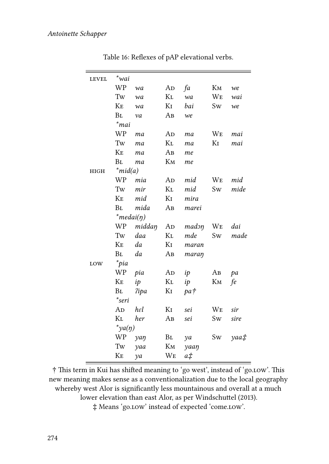| <b>LEVEL</b> | $*$ wai        |              |                |             |                        |      |
|--------------|----------------|--------------|----------------|-------------|------------------------|------|
|              | <b>WP</b>      | wa           | AD             | fa          | Kм                     | we   |
|              | Tw             | wa           | KL             | wa          | <b>W</b> <sub>E</sub>  | wai  |
|              | Kе             | wa           | Kі             | bai         | Sw                     | we   |
|              | B <sub>L</sub> | va           | AB             | we          |                        |      |
|              | $*$ mai        |              |                |             |                        |      |
|              | <b>WP</b>      | ma           | AD             | mа          | <b>WE</b>              | mai  |
|              | Tw             | ma           | KL             | ma          | Кı                     | mai  |
|              | Kе             | mа           | AB             | mе          |                        |      |
|              | B <sub>L</sub> | ma           | Kм             | me          |                        |      |
| HIGH         | $*mid(a)$      |              |                |             |                        |      |
|              | <b>WP</b>      | mia          | A <sub>D</sub> | mid         | $\rm{WE}$              | mid  |
|              | Tw             | mir          | KL             | mid         | Sw                     | mide |
|              | KЕ             | mid          | KI             | mira        |                        |      |
|              | B <sub>L</sub> | mida         | AB             | marei       |                        |      |
|              |                | $*median(n)$ |                |             |                        |      |
|              | <b>WP</b>      | middan       | A <sub>D</sub> | madən       | $\rm{WE}$              | dai  |
|              | Tw             | daa          | KL             | mde         | <b>Sw</b>              | made |
|              | KЕ             | da           | Kі             | maran       |                        |      |
|              | B <sub>L</sub> | da           | AB             | maran       |                        |      |
| LOW          | $*$ pia        |              |                |             |                        |      |
|              | WP             | pia          | A <sub>D</sub> | ip          | $\mathbf{A}\mathbf{B}$ | pa   |
|              | Kе             | ip           | KL             | ip          | $\rm{Km}$              | fe   |
|              | B <sub>L</sub> | <i>?ipa</i>  | Kі             | pa†         |                        |      |
|              | *seri          |              |                |             |                        |      |
|              | Ad             | hεl          | KI             | sei         | WЕ                     | sir  |
|              | KL             | her          | AB             | sei         | Sw                     | sire |
|              | $*ya(\eta)$    |              |                |             |                        |      |
|              | WP             | yaŋ          | B <sub>L</sub> | ya          | Sw                     | yaa‡ |
|              | Tw             | yaa          | Kм             | yaan        |                        |      |
|              | $K_E$          | ya           | WЕ             | $a\ddagger$ |                        |      |

<span id="page-27-0"></span>Table 16: Reflexes of pAP elevational verbs.

† This term in Kui has shifted meaning to 'go west', instead of 'go.low'. This new meaning makes sense as a conventionalization due to the local geography whereby west Alor is significantly less mountainous and overall at a much lower elevation than east Alor, as per [Windschuttel \(2013\).](#page-37-6) ‡ Means 'go.low' instead of expected 'come.low'.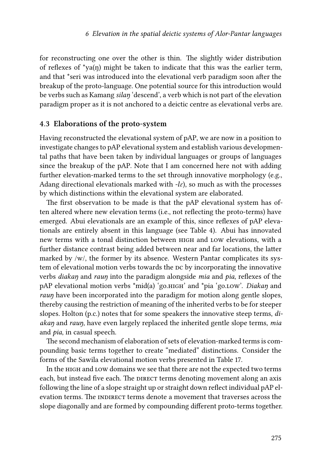for reconstructing one over the other is thin. The slightly wider distribution of reflexes of  $x^2$ <sub>ya</sub>(n) might be taken to indicate that this was the earlier term, and that \*seri was introduced into the elevational verb paradigm soon after the breakup of the proto-language. One potential source for this introduction would be verbs such as Kamang *silaŋ* 'descend', a verb which is not part of the elevation paradigm proper as it is not anchored to a deictic centre as elevational verbs are.

#### <span id="page-28-0"></span>**4.3 Elaborations of the proto-system**

Having reconstructed the elevational system of pAP, we are now in a position to investigate changes to pAP elevational system and establish various developmental paths that have been taken by individual languages or groups of languages since the breakup of the pAP. Note that I am concerned here not with adding further elevation-marked terms to the set through innovative morphology (e.g., Adang directional elevationals marked with *-lε*), so much as with the processes by which distinctions within the elevational system are elaborated.

The first observation to be made is that the pAP elevational system has often altered where new elevation terms (i.e., not reflecting the proto-terms) have emerged. Abui elevationals are an example of this, since reflexes of pAP elevationals are entirely absent in this language (see Table [4\)](#page-7-2). Abui has innovated new terms with a tonal distinction between high and low elevations, with a further distance contrast being added between near and far locations, the latter marked by /w/, the former by its absence. Western Pantar complicates its system of elevational motion verbs towards the DC by incorporating the innovative verbs *diakaŋ* and *rauŋ* into the paradigm alongside *mia* and *pia*, reflexes of the pAP elevational motion verbs \*mid(a) 'go.нисн' and \*pia 'go.Low'. *Diakan* and *raun* have been incorporated into the paradigm for motion along gentle slopes, thereby causing the restriction of meaning of the inherited verbs to be for steeper slopes. Holton (p.c.) notes that for some speakers the innovative steep terms, *diakaŋ* and *rauŋ*, have even largely replaced the inherited gentle slope terms, *mia* and *pia*, in casual speech.

The second mechanism of elaboration of sets of elevation-marked terms is compounding basic terms together to create "mediated" distinctions. Consider the forms of the Sawila elevational motion verbs presented in Table [17](#page-29-0).

In the HIGH and LOW domains we see that there are not the expected two terms each, but instead five each. The DIRECT terms denoting movement along an axis following the line of a slope straight up or straight down reflect individual pAP elevation terms. The INDIRECT terms denote a movement that traverses across the slope diagonally and are formed by compounding different proto-terms together.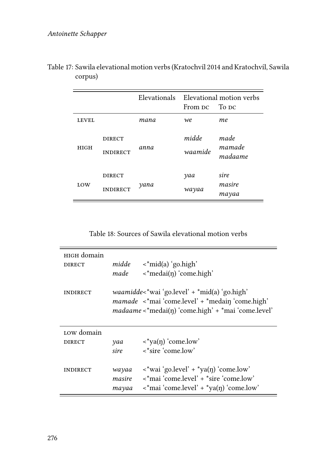|              |                                  | Elevationals | From <sub>DC</sub> | Elevational motion verbs<br>To DC |
|--------------|----------------------------------|--------------|--------------------|-----------------------------------|
| <b>LEVEL</b> |                                  | mana         | we                 | mе                                |
| HIGH         | <b>DIRECT</b><br><b>INDIRECT</b> | anna         | midde<br>waamide   | made<br>mamade<br>madaame         |
| LOW          | <b>DIRECT</b><br><b>INDIRECT</b> | yana         | yaa<br>wayaa       | sire<br>masire<br>тауаа           |

<span id="page-29-0"></span>

| Table 17: Sawila elevational motion verbs (Kratochvíl 2014 and Kratochvíl, Sawila |  |
|-----------------------------------------------------------------------------------|--|
| corpus)                                                                           |  |

<span id="page-29-1"></span>Table 18: Sources of Sawila elevational motion verbs

| нисн domain<br><b>DIRECT</b> | midde<br>made            | $\langle \text{mid}(a) \rangle$ go.high<br>$\prec^*$ medai(n) 'come.high'                                                                                                          |
|------------------------------|--------------------------|------------------------------------------------------------------------------------------------------------------------------------------------------------------------------------|
| <b>INDIRECT</b>              |                          | <i>waamidde</i> $\lt^*$ wai 'go.level' + $\text*{mid}(a)$ 'go.high'<br>$mamade <$ *mai 'come.level' + *medain 'come.high'<br>$madaame <$ *medai(n) 'come.high' + *mai 'come.level' |
| LOW domain                   |                          |                                                                                                                                                                                    |
| <b>DIRECT</b>                | yaa                      | $\langle$ *ya(n) 'come.low'                                                                                                                                                        |
|                              | sire                     | sire 'come.low'                                                                                                                                                                    |
| <b>INDIRECT</b>              | wayaa<br>masire<br>тауаа | $\langle$ wai 'go.level' + *ya(n) 'come.low'<br>s*mai 'come.level' + *sire 'come.low'<br>$\langle$ *mai 'come.level' + *ya(n) 'come.low'                                           |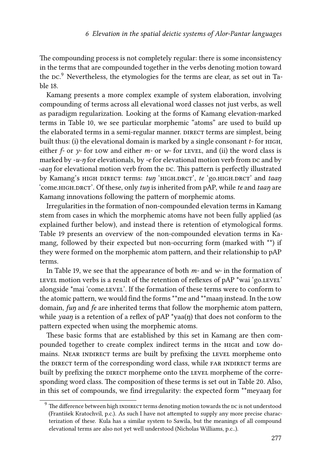The compounding process is not completely regular: there is some inconsistency in the terms that are compounded together in the verbs denoting motion toward the DC.<sup>9</sup> Nevertheless, the etymologies for the terms are clear, as set out in Table [18](#page-29-1).

Kamang presents a more complex example of system elaboration, involving compounding of terms across all elevational word classes not just verbs, as well as paradigm regularization. Looking at the forms of Kamang elevation-marked terms in Table [10](#page-19-1), we see particular morphemic "atoms" are used to build up the elaborated terms in a semi-regular manner. DIRECT terms are simplest, being built thus: (i) the elevational domain is marked by a single consonant *t-* for high, either  $f$ - or  $y$ - for LOW and either  $m$ - or  $w$ - for LEVEL, and (ii) the word class is marked by  $-u$ -*n* for elevationals, by -*e* for elevational motion verb from DC and by *-aan* for elevational motion verb from the DC. This pattern is perfectly illustrated by Kamang's HIGH DIRECT terms: *tun* 'HIGH.DRCT', *te* 'go.HIGH.DRCT' and *taan* 'come.high.drct'. Of these, only *tuŋ* is inherited from pAP, while *te* and *taaŋ* are Kamang innovations following the pattern of morphemic atoms.

Irregularities in the formation of non-compounded elevation terms in Kamang stem from cases in which the morphemic atoms have not been fully applied (as explained further below), and instead there is retention of etymological forms. Table [19](#page-31-1) presents an overview of the non-compounded elevation terms in Kamang, followed by their expected but non-occurring form (marked with \*\*) if they were formed on the morphemic atom pattern, and their relationship to pAP terms.

In Table [19](#page-31-1), we see that the appearance of both *m-* and *w-* in the formation of level motion verbs is a result of the retention of reflexes of pAP \*wai 'go.level' alongside \*mai 'come.level'. If the formation of these terms were to conform to the atomic pattern, we would find the forms \*\*me and \*\*maaŋ instead. In the low domain, *fuŋ* and *fe* are inherited terms that follow the morphemic atom pattern, while *yaan* is a retention of a reflex of pAP \*yaa(n) that does not conform to the pattern expected when using the morphemic atoms.

These basic forms that are established by this set in Kamang are then compounded together to create complex indirect terms in the high and low domains. NEAR INDIRECT terms are built by prefixing the LEVEL morpheme onto the DIRECT term of the corresponding word class, while FAR INDIRECT terms are built by prefixing the DIRECT morpheme onto the LEVEL morpheme of the corresponding word class. The composition of these terms is set out in Table [20](#page-32-0). Also, in this set of compounds, we find irregularity: the expected form \*\*meyaaŋ for

 $^9$  The difference between high <code>iNDIRECT</code> terms denoting motion towards the <code>DC</code> is not understood (František Kratochvíl, p.c.). As such I have not attempted to supply any more precise characterization of these. Kula has a similar system to Sawila, but the meanings of all compound elevational terms are also not yet well understood (Nicholas Williams, p.c..).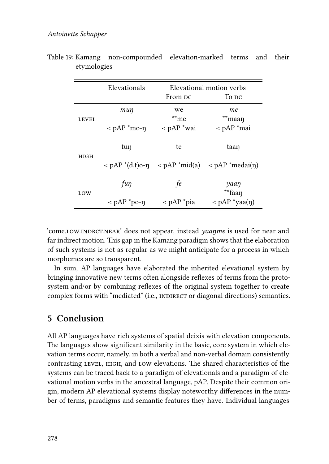<span id="page-31-1"></span>

|              | Elevationals              | Elevational motion verbs                |                                                                                                                              |  |
|--------------|---------------------------|-----------------------------------------|------------------------------------------------------------------------------------------------------------------------------|--|
|              |                           | From <sub>DC</sub>                      | To <sub>DC</sub>                                                                                                             |  |
| <b>LEVEL</b> | mun                       | we<br>$*$ <sup>*</sup> me               | mе<br>**maan                                                                                                                 |  |
|              | $\langle$ pAP *mo- $\eta$ | $\langle$ pAP $\alpha$ <sup>*</sup> wai | $\leq$ pAP $\text{*mai}$                                                                                                     |  |
| HIGH         | tun                       | te                                      | taan                                                                                                                         |  |
|              |                           |                                         | $\langle \text{pAP *}(d, t) \text{O-n} \rangle$ $\langle \text{pAP *mid}(a) \rangle$ $\langle \text{pAP *mid}(a, t) \rangle$ |  |
| LOW          | fun                       | fe                                      | yaan<br>**faan                                                                                                               |  |
|              | $\langle$ pAP *po- $\eta$ | $\langle$ pAP *pia                      | $\langle$ pAP *yaa(n)                                                                                                        |  |

Table 19: Kamang non-compounded elevation-marked terms and their etymologies

'come.LOW.INDRCT.NEAR' does not appear, instead *yaaŋme* is used for near and far indirect motion. This gap in the Kamang paradigm shows that the elaboration of such systems is not as regular as we might anticipate for a process in which morphemes are so transparent.

In sum, AP languages have elaborated the inherited elevational system by bringing innovative new terms often alongside reflexes of terms from the protosystem and/or by combining reflexes of the original system together to create complex forms with "mediated" (i.e., INDIRECT or diagonal directions) semantics.

## <span id="page-31-0"></span>**5 Conclusion**

All AP languages have rich systems of spatial deixis with elevation components. The languages show significant similarity in the basic, core system in which elevation terms occur, namely, in both a verbal and non-verbal domain consistently contrasting level, high, and low elevations. The shared characteristics of the systems can be traced back to a paradigm of elevationals and a paradigm of elevational motion verbs in the ancestral language, pAP. Despite their common origin, modern AP elevational systems display noteworthy differences in the number of terms, paradigms and semantic features they have. Individual languages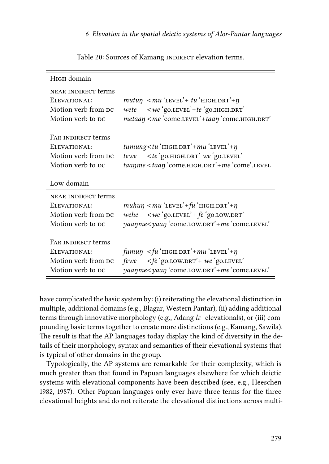#### <span id="page-32-0"></span>*6 Elevation in the spatial deictic systems of Alor-Pantar languages*

Table 20: Sources of Kamang INDIRECT elevation terms.

| HIGH domain         |                                                                   |
|---------------------|-------------------------------------------------------------------|
| NEAR INDIRECT terms | $mutu\eta$ < $mu$ 'LEVEL' + $tu$ 'HIGH.DRT' + $\eta$              |
| ELEVATIONAL:        | $\langle$ we 'go.LEVEL'+te 'go.HIGH.DRT'                          |
| Motion verb from DC | wete                                                              |
| Motion verb to DC   | metaan <me 'come.high.drt'<="" 'come.level'+taan="" td=""></me>   |
| FAR INDIRECT ferms  | $tumung < tu$ 'HIGH.DRT'+ $mu$ 'LEVEL'+ $\eta$                    |
| ELEVATIONAL:        | <te 'go.high.drt'="" 'go.level'<="" td="" we=""></te>             |
| Motion verb from DC | tewe                                                              |
| Motion verb to DC   | taanme <taan 'come'.level<="" 'come.high.drt'+me="" td=""></taan> |
| Low domain          |                                                                   |
| NEAR INDIRECT terms | muhun <mu 'high.drt'+n<="" 'level'+fu="" td=""></mu>              |
| ELEVATIONAL:        | $\langle$ we 'go.LEVEL' + fe 'go.LOW.DRT'                         |
| Motion verb from DC | wehe                                                              |
| Motion verb to DC   | yaanme <yaan 'come.level'<="" 'come.low.drt'+me="" td=""></yaan>  |
| FAR INDIRECT ferms  | $fumu\eta$ < $fu'$ HIGH.DRT' + $mu'$ LEVEL' + $\eta$              |
| ELEVATIONAL:        | $\langle f e' \text{go.LOW.DRT'} + we' \text{go.LEVEL'}\rangle$   |
| Motion verb from DC | fewe                                                              |
| Motion verb to DC   | yaanme <yaan 'come.level'<="" 'come.low.drt'+me="" td=""></yaan>  |

have complicated the basic system by: (i) reiterating the elevational distinction in multiple, additional domains (e.g., Blagar, Western Pantar), (ii) adding additional terms through innovative morphology (e.g., Adang *lε-* elevationals), or (iii) compounding basic terms together to create more distinctions (e.g., Kamang, Sawila). The result is that the AP languages today display the kind of diversity in the details of their morphology, syntax and semantics of their elevational systems that is typical of other domains in the group.

Typologically, the AP systems are remarkable for their complexity, which is much greater than that found in Papuan languages elsewhere for which deictic systems with elevational components have been described (see, e.g., [Heeschen](#page-35-11) [1982,](#page-35-11) [1987\)](#page-35-12). Other Papuan languages only ever have three terms for the three elevational heights and do not reiterate the elevational distinctions across multi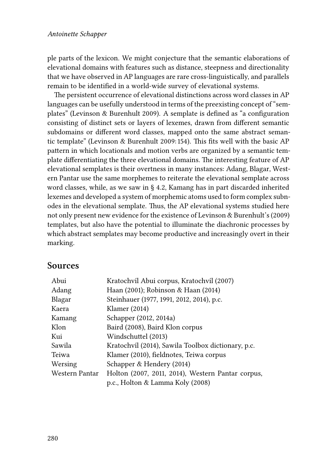ple parts of the lexicon. We might conjecture that the semantic elaborations of elevational domains with features such as distance, steepness and directionality that we have observed in AP languages are rare cross-linguistically, and parallels remain to be identified in a world-wide survey of elevational systems.

The persistent occurrence of elevational distinctions across word classes in AP languages can be usefully understood in terms of the preexisting concept of "semplates" [\(Levinson & Burenhult 2009\)](#page-36-12). A semplate is defined as "a configuration consisting of distinct sets or layers of lexemes, drawn from different semantic subdomains or different word classes, mapped onto the same abstract semantic template"([Levinson & Burenhult 2009](#page-36-12): 154). This fits well with the basic AP pattern in which locationals and motion verbs are organized by a semantic template differentiating the three elevational domains. The interesting feature of AP elevational semplates is their overtness in many instances: Adang, Blagar, Western Pantar use the same morphemes to reiterate the elevational semplate across word classes, while, as we saw in § [4.2,](#page-26-0) Kamang has in part discarded inherited lexemes and developed a system of morphemic atoms used to form complex subnodes in the elevational semplate. Thus, the AP elevational systems studied here not only present new evidence for the existence of [Levinson & Burenhult'](#page-36-12)s (2009) templates, but also have the potential to illuminate the diachronic processes by which abstract semplates may become productive and increasingly overt in their marking.

### **Sources**

| Abui           | Kratochvíl Abui corpus, Kratochvíl (2007)          |
|----------------|----------------------------------------------------|
| Adang          | Haan (2001); Robinson & Haan (2014)                |
| Blagar         | Steinhauer (1977, 1991, 2012, 2014), p.c.          |
| Kaera          | Klamer (2014)                                      |
| Kamang         | Schapper (2012, 2014a)                             |
| Klon           | Baird (2008), Baird Klon corpus                    |
| Kui            | Windschuttel (2013)                                |
| Sawila         | Kratochvíl (2014), Sawila Toolbox dictionary, p.c. |
| Teiwa          | Klamer (2010), fieldnotes, Teiwa corpus            |
| Wersing        | Schapper & Hendery (2014)                          |
| Western Pantar | Holton (2007, 2011, 2014), Western Pantar corpus,  |
|                | p.c., Holton & Lamma Koly (2008)                   |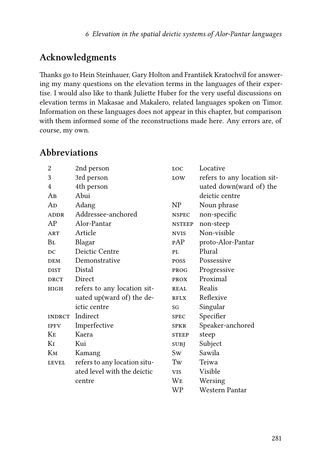## **Acknowledgments**

Thanks go to Hein Steinhauer, Gary Holton and František Kratochvíl for answering my many questions on the elevation terms in the languages of their expertise. I would also like to thank Juliette Huber for the very useful discussions on elevation terms in Makasae and Makalero, related languages spoken on Timor. Information on these languages does not appear in this chapter, but comparison with them informed some of the reconstructions made here. Any errors are, of course, my own.

## **Abbreviations**

| $\overline{2}$  | 2nd person                   | LOC           | Locative                    |
|-----------------|------------------------------|---------------|-----------------------------|
| 3               | 3rd person                   | LOW           | refers to any location sit- |
| 4               | 4th person                   |               | uated down(ward of) the     |
| $\overline{AB}$ | Abui                         |               | deictic centre              |
| AD              | Adang                        | NP            | Noun phrase                 |
| <b>ADDR</b>     | Addressee-anchored           | <b>NSPEC</b>  | non-specific                |
| AP              | Alor-Pantar                  | <b>NSTEEP</b> | non-steep                   |
| ART             | Article                      | <b>NVIS</b>   | Non-visible                 |
| B <sub>L</sub>  | Blagar                       | <b>PAP</b>    | proto-Alor-Pantar           |
| DC              | Deictic Centre               | PL            | Plural                      |
| <b>DEM</b>      | Demonstrative                | <b>POSS</b>   | Possessive                  |
| <b>DIST</b>     | Distal                       | PROG          | Progressive                 |
| <b>DRCT</b>     | Direct                       | <b>PROX</b>   | Proximal                    |
| <b>HIGH</b>     | refers to any location sit-  | REAL          | Realis                      |
|                 | uated up(ward of) the de-    | RFLX          | Reflexive                   |
|                 | ictic centre                 | SG            | Singular                    |
| <b>INDRCT</b>   | Indirect                     | <b>SPEC</b>   | Specifier                   |
| <b>IPFV</b>     | Imperfective                 | <b>SPKR</b>   | Speaker-anchored            |
| KE              | Kaera                        | <b>STEEP</b>  | steep                       |
| Kт              | Kui                          | <b>SUBJ</b>   | Subject                     |
| Kм              | Kamang                       | Sw            | Sawila                      |
| <b>LEVEL</b>    | refers to any location situ- | Tw            | Teiwa                       |
|                 | ated level with the deictic  | <b>VIS</b>    | Visible                     |
|                 | centre                       | Wе            | Wersing                     |
|                 |                              | WP            | Western Pantar              |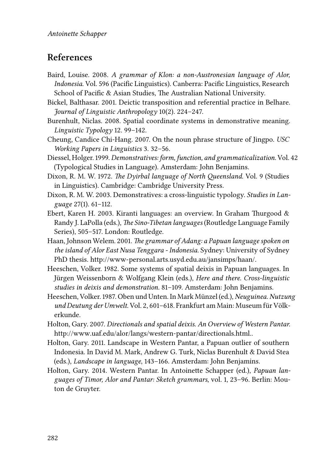## **References**

- <span id="page-35-13"></span>Baird, Louise. 2008. *A grammar of Klon: a non-Austronesian language of Alor, Indonesia*. Vol. 596 (Pacific Linguistics). Canberra: Pacific Linguistics, Research School of Pacific & Asian Studies, The Australian National University.
- <span id="page-35-0"></span>Bickel, Balthasar. 2001. Deictic transposition and referential practice in Belhare. *Journal of Linguistic Anthropology* 10(2). 224–247.
- <span id="page-35-6"></span>Burenhult, Niclas. 2008. Spatial coordinate systems in demonstrative meaning. *Linguistic Typology* 12. 99–142.
- <span id="page-35-1"></span>Cheung, Candice Chi-Hang. 2007. On the noun phrase structure of Jingpo. *USC Working Papers in Linguistics* 3. 32–56.
- <span id="page-35-2"></span>Diessel, Holger. 1999. *Demonstratives: form, function, and grammaticalization*. Vol. 42 (Typological Studies in Language). Amsterdam: John Benjamins.
- <span id="page-35-3"></span>Dixon, R. M. W. 1972. *The Dyirbal language of North Queensland*. Vol. 9 (Studies in Linguistics). Cambridge: Cambridge University Press.
- <span id="page-35-5"></span>Dixon, R. M. W. 2003. Demonstratives: a cross-linguistic typology. *Studies in Language* 27(1). 61–112.
- <span id="page-35-4"></span>Ebert, Karen H. 2003. Kiranti languages: an overview. In Graham Thurgood & Randy J. LaPolla (eds.), *The Sino-Tibetan languages* (Routledge Language Family Series), 505–517. London: Routledge.
- <span id="page-35-7"></span>Haan, Johnson Welem. 2001. *The grammar of Adang: a Papuan language spoken on the island of Alor East Nusa Tenggara - Indonesia*. Sydney: University of Sydney PhD thesis. [http://www-personal.arts.usyd.edu.au/jansimps/haan/.](http://www-personal.arts.usyd.edu.au/jansimps/haan/)
- <span id="page-35-11"></span>Heeschen, Volker. 1982. Some systems of spatial deixis in Papuan languages. In Jürgen Weissenborn & Wolfgang Klein (eds.), *Here and there. Cross-linguistic studies in deixis and demonstration.* 81–109. Amsterdam: John Benjamins.
- <span id="page-35-12"></span>Heeschen, Volker. 1987. Oben und Unten. In Mark Münzel (ed.), *Neuguinea. Nutzung und Deutung der Umwelt.* Vol. 2, 601–618. Frankfurt am Main: Museum für Völkerkunde.
- <span id="page-35-8"></span>Holton, Gary. 2007. *Directionals and spatial deixis. An Overview of Western Pantar.* <http://www.uaf.edu/alor/langs/western-pantar/directionals.html.>.
- <span id="page-35-10"></span>Holton, Gary. 2011. Landscape in Western Pantar, a Papuan outlier of southern Indonesia. In David M. Mark, Andrew G. Turk, Niclas Burenhult & David Stea (eds.), *Landscape in language*, 143–166. Amsterdam: John Benjamins.
- <span id="page-35-9"></span>Holton, Gary. 2014. Western Pantar. In Antoinette Schapper (ed.), *Papuan languages of Timor, Alor and Pantar: Sketch grammars*, vol. 1, 23–96. Berlin: Mouton de Gruyter.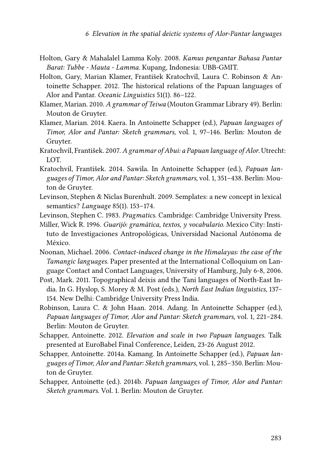- <span id="page-36-8"></span>Holton, Gary & Mahalalel Lamma Koly. 2008. *Kamus pengantar Bahasa Pantar Barat: Tubbe - Mauta - Lamma*. Kupang, Indonesia: UBB-GMIT.
- <span id="page-36-10"></span>Holton, Gary, Marian Klamer, František Kratochvíl, Laura C. Robinson & Antoinette Schapper. 2012. The historical relations of the Papuan languages of Alor and Pantar. *Oceanic Linguistics* 51(1). 86–122.
- <span id="page-36-5"></span>Klamer, Marian. 2010. *A grammar of Teiwa* (Mouton Grammar Library 49). Berlin: Mouton de Gruyter.
- <span id="page-36-13"></span>Klamer, Marian. 2014. Kaera. In Antoinette Schapper (ed.), *Papuan languages of Timor, Alor and Pantar: Sketch grammars*, vol. 1, 97–146. Berlin: Mouton de Gruyter.
- <span id="page-36-6"></span>Kratochvíl, František. 2007.*A grammar of Abui: a Papuan language of Alor*. Utrecht: LOT.
- <span id="page-36-11"></span>Kratochvíl, František. 2014. Sawila. In Antoinette Schapper (ed.), *Papuan languages of Timor, Alor and Pantar: Sketch grammars*, vol. 1, 351–438. Berlin: Mouton de Gruyter.
- <span id="page-36-12"></span>Levinson, Stephen & Niclas Burenhult. 2009. Semplates: a new concept in lexical semantics? *Language* 85(1). 153–174.
- <span id="page-36-1"></span>Levinson, Stephen C. 1983. *Pragmatics*. Cambridge: Cambridge University Press.
- <span id="page-36-2"></span>Miller, Wick R. 1996. *Guarijó: gramática, textos, y vocabulario*. Mexico City: Instituto de Investigaciones Antropológicas, Universidad Nacional Autónoma de México.
- <span id="page-36-3"></span>Noonan, Michael. 2006. *Contact-induced change in the Himalayas: the case of the Tamangic languages*. Paper presented at the International Colloquium on Language Contact and Contact Languages, University of Hamburg, July 6-8, 2006.
- <span id="page-36-0"></span>Post, Mark. 2011. Topographical deixis and the Tani languages of North-East India. In G. Hyslop, S. Morey & M. Post (eds.), *North East Indian linguistics*, 137– 154. New Delhi: Cambridge University Press India.
- <span id="page-36-7"></span>Robinson, Laura C. & John Haan. 2014. Adang. In Antoinette Schapper (ed.), *Papuan languages of Timor, Alor and Pantar: Sketch grammars*, vol. 1, 221–284. Berlin: Mouton de Gruyter.
- <span id="page-36-4"></span>Schapper, Antoinette. 2012. *Elevation and scale in two Papuan languages*. Talk presented at EuroBabel Final Conference, Leiden, 23-26 August 2012.
- <span id="page-36-9"></span>Schapper, Antoinette. 2014a. Kamang. In Antoinette Schapper (ed.), *Papuan languages of Timor, Alor and Pantar: Sketch grammars*, vol. 1, 285–350. Berlin: Mouton de Gruyter.
- Schapper, Antoinette (ed.). 2014b. *Papuan languages of Timor, Alor and Pantar: Sketch grammars*. Vol. 1. Berlin: Mouton de Gruyter.